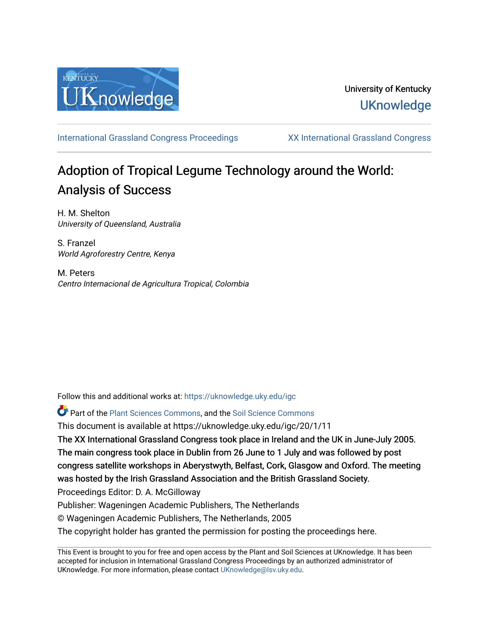

[International Grassland Congress Proceedings](https://uknowledge.uky.edu/igc) [XX International Grassland Congress](https://uknowledge.uky.edu/igc/20) 

# Adoption of Tropical Legume Technology around the World: Analysis of Success

H. M. Shelton University of Queensland, Australia

S. Franzel World Agroforestry Centre, Kenya

M. Peters Centro Internacional de Agricultura Tropical, Colombia

Follow this and additional works at: [https://uknowledge.uky.edu/igc](https://uknowledge.uky.edu/igc?utm_source=uknowledge.uky.edu%2Figc%2F20%2F1%2F11&utm_medium=PDF&utm_campaign=PDFCoverPages) 

Part of the [Plant Sciences Commons](http://network.bepress.com/hgg/discipline/102?utm_source=uknowledge.uky.edu%2Figc%2F20%2F1%2F11&utm_medium=PDF&utm_campaign=PDFCoverPages), and the [Soil Science Commons](http://network.bepress.com/hgg/discipline/163?utm_source=uknowledge.uky.edu%2Figc%2F20%2F1%2F11&utm_medium=PDF&utm_campaign=PDFCoverPages)  This document is available at https://uknowledge.uky.edu/igc/20/1/11 The XX International Grassland Congress took place in Ireland and the UK in June-July 2005. The main congress took place in Dublin from 26 June to 1 July and was followed by post congress satellite workshops in Aberystwyth, Belfast, Cork, Glasgow and Oxford. The meeting was hosted by the Irish Grassland Association and the British Grassland Society. Proceedings Editor: D. A. McGilloway Publisher: Wageningen Academic Publishers, The Netherlands © Wageningen Academic Publishers, The Netherlands, 2005 The copyright holder has granted the permission for posting the proceedings here.

This Event is brought to you for free and open access by the Plant and Soil Sciences at UKnowledge. It has been accepted for inclusion in International Grassland Congress Proceedings by an authorized administrator of UKnowledge. For more information, please contact [UKnowledge@lsv.uky.edu](mailto:UKnowledge@lsv.uky.edu).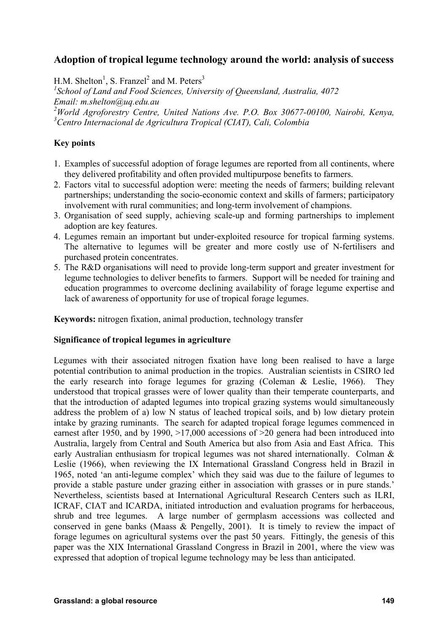## **Adoption of tropical legume technology around the world: analysis of success**

H.M. Shelton<sup>1</sup>, S. Franzel<sup>2</sup> and M. Peters<sup>3</sup>

<sup>1</sup> School of Land and Food Sciences, University of Queensland, Australia, 4072 *Email: m.shelton@uq.edu.au*  <sup>2</sup> World Agroforestry Centre, United Nations Ave. P.O. Box 30677-00100, Nairobi, Kenya, <sup>3</sup>Centre Internacional de Agricultura Tropical (CIAT), Cali Colombia *Centro Internacional de Agricultura Tropical (CIAT), Cali, Colombia* 

## **Key points**

- 1. Examples of successful adoption of forage legumes are reported from all continents, where they delivered profitability and often provided multipurpose benefits to farmers.
- 2. Factors vital to successful adoption were: meeting the needs of farmers; building relevant partnerships; understanding the socio-economic context and skills of farmers; participatory involvement with rural communities; and long-term involvement of champions.
- 3. Organisation of seed supply, achieving scale-up and forming partnerships to implement adoption are key features.
- 4. Legumes remain an important but under-exploited resource for tropical farming systems. The alternative to legumes will be greater and more costly use of N-fertilisers and purchased protein concentrates.
- 5. The R&D organisations will need to provide long-term support and greater investment for legume technologies to deliver benefits to farmers. Support will be needed for training and education programmes to overcome declining availability of forage legume expertise and lack of awareness of opportunity for use of tropical forage legumes.

**Keywords:** nitrogen fixation, animal production, technology transfer

#### **Significance of tropical legumes in agriculture**

Legumes with their associated nitrogen fixation have long been realised to have a large potential contribution to animal production in the tropics. Australian scientists in CSIRO led the early research into forage legumes for grazing (Coleman & Leslie, 1966). They understood that tropical grasses were of lower quality than their temperate counterparts, and that the introduction of adapted legumes into tropical grazing systems would simultaneously address the problem of a) low N status of leached tropical soils, and b) low dietary protein intake by grazing ruminants. The search for adapted tropical forage legumes commenced in earnest after 1950, and by 1990,  $>17,000$  accessions of  $>20$  genera had been introduced into Australia, largely from Central and South America but also from Asia and East Africa. This early Australian enthusiasm for tropical legumes was not shared internationally. Colman  $\&$ Leslie (1966), when reviewing the IX International Grassland Congress held in Brazil in 1965, noted 'an anti-legume complex' which they said was due to the failure of legumes to provide a stable pasture under grazing either in association with grasses or in pure stands.' Nevertheless, scientists based at International Agricultural Research Centers such as ILRI, ICRAF, CIAT and ICARDA, initiated introduction and evaluation programs for herbaceous, shrub and tree legumes. A large number of germplasm accessions was collected and conserved in gene banks (Maass & Pengelly, 2001). It is timely to review the impact of forage legumes on agricultural systems over the past 50 years. Fittingly, the genesis of this paper was the XIX International Grassland Congress in Brazil in 2001, where the view was expressed that adoption of tropical legume technology may be less than anticipated.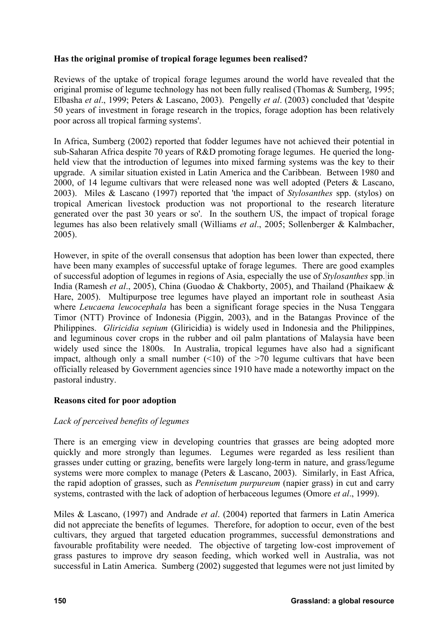## **Has the original promise of tropical forage legumes been realised?**

Reviews of the uptake of tropical forage legumes around the world have revealed that the original promise of legume technology has not been fully realised (Thomas & Sumberg, 1995; Elbasha *et al*., 1999; Peters & Lascano, 2003). Pengelly *et al*. (2003) concluded that 'despite 50 years of investment in forage research in the tropics, forage adoption has been relatively poor across all tropical farming systems'.

In Africa, Sumberg (2002) reported that fodder legumes have not achieved their potential in sub-Saharan Africa despite 70 years of R&D promoting forage legumes. He queried the longheld view that the introduction of legumes into mixed farming systems was the key to their upgrade. A similar situation existed in Latin America and the Caribbean. Between 1980 and 2000, of 14 legume cultivars that were released none was well adopted (Peters & Lascano, 2003). Miles & Lascano (1997) reported that 'the impact of *Stylosanthes* spp. (stylos) on tropical American livestock production was not proportional to the research literature generated over the past 30 years or so'. In the southern US, the impact of tropical forage legumes has also been relatively small (Williams *et al*., 2005; Sollenberger & Kalmbacher, 2005).

However, in spite of the overall consensus that adoption has been lower than expected, there have been many examples of successful uptake of forage legumes. There are good examples of successful adoption of legumes in regions of Asia, especially the use of *Stylosanthes* spp. in India (Ramesh *et al*., 2005), China (Guodao & Chakborty, 2005), and Thailand (Phaikaew & Hare, 2005). Multipurpose tree legumes have played an important role in southeast Asia where *Leucaena leucocephala* has been a significant forage species in the Nusa Tenggara Timor (NTT) Province of Indonesia (Piggin, 2003), and in the Batangas Province of the Philippines. *Gliricidia sepium* (Gliricidia) is widely used in Indonesia and the Philippines, and leguminous cover crops in the rubber and oil palm plantations of Malaysia have been widely used since the 1800s. In Australia, tropical legumes have also had a significant impact, although only a small number  $(\leq 10)$  of the  $\geq 70$  legume cultivars that have been officially released by Government agencies since 1910 have made a noteworthy impact on the pastoral industry.

## **Reasons cited for poor adoption**

## *Lack of perceived benefits of legumes*

There is an emerging view in developing countries that grasses are being adopted more quickly and more strongly than legumes. Legumes were regarded as less resilient than grasses under cutting or grazing, benefits were largely long-term in nature, and grass/legume systems were more complex to manage (Peters & Lascano, 2003). Similarly, in East Africa, the rapid adoption of grasses, such as *Pennisetum purpureum* (napier grass) in cut and carry systems, contrasted with the lack of adoption of herbaceous legumes (Omore *et al*., 1999).

Miles & Lascano, (1997) and Andrade *et al*. (2004) reported that farmers in Latin America did not appreciate the benefits of legumes. Therefore, for adoption to occur, even of the best cultivars, they argued that targeted education programmes, successful demonstrations and favourable profitability were needed. The objective of targeting low-cost improvement of grass pastures to improve dry season feeding, which worked well in Australia, was not successful in Latin America. Sumberg (2002) suggested that legumes were not just limited by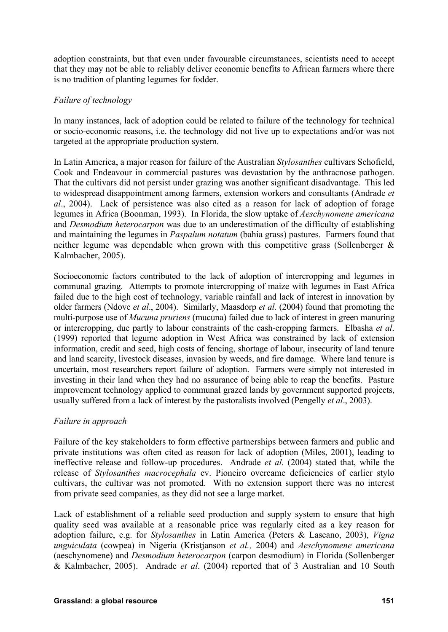adoption constraints, but that even under favourable circumstances, scientists need to accept that they may not be able to reliably deliver economic benefits to African farmers where there is no tradition of planting legumes for fodder.

### *Failure of technology*

In many instances, lack of adoption could be related to failure of the technology for technical or socio-economic reasons, i.e. the technology did not live up to expectations and/or was not targeted at the appropriate production system.

In Latin America, a major reason for failure of the Australian *Stylosanthes* cultivars Schofield, Cook and Endeavour in commercial pastures was devastation by the anthracnose pathogen. That the cultivars did not persist under grazing was another significant disadvantage. This led to widespread disappointment among farmers, extension workers and consultants (Andrade *et al*., 2004). Lack of persistence was also cited as a reason for lack of adoption of forage legumes in Africa (Boonman, 1993). In Florida, the slow uptake of *Aeschynomene americana* and *Desmodium heterocarpon* was due to an underestimation of the difficulty of establishing and maintaining the legumes in *Paspalum notatum* (bahia grass) pastures. Farmers found that neither legume was dependable when grown with this competitive grass (Sollenberger  $\&$ Kalmbacher, 2005).

Socioeconomic factors contributed to the lack of adoption of intercropping and legumes in communal grazing. Attempts to promote intercropping of maize with legumes in East Africa failed due to the high cost of technology, variable rainfall and lack of interest in innovation by older farmers (Ndove *et al*., 2004). Similarly, Maasdorp *et al.* (2004) found that promoting the multi-purpose use of *Mucuna pruriens* (mucuna) failed due to lack of interest in green manuring or intercropping, due partly to labour constraints of the cash-cropping farmers. Elbasha *et al*. (1999) reported that legume adoption in West Africa was constrained by lack of extension information, credit and seed, high costs of fencing, shortage of labour, insecurity of land tenure and land scarcity, livestock diseases, invasion by weeds, and fire damage. Where land tenure is uncertain, most researchers report failure of adoption. Farmers were simply not interested in investing in their land when they had no assurance of being able to reap the benefits. Pasture improvement technology applied to communal grazed lands by government supported projects, usually suffered from a lack of interest by the pastoralists involved (Pengelly *et al*., 2003).

## *Failure in approach*

Failure of the key stakeholders to form effective partnerships between farmers and public and private institutions was often cited as reason for lack of adoption (Miles, 2001), leading to ineffective release and follow-up procedures. Andrade *et al.* (2004) stated that, while the release of *Stylosanthes macrocephala* cv. Pioneiro overcame deficiencies of earlier stylo cultivars, the cultivar was not promoted. With no extension support there was no interest from private seed companies, as they did not see a large market.

Lack of establishment of a reliable seed production and supply system to ensure that high quality seed was available at a reasonable price was regularly cited as a key reason for adoption failure, e.g. for *Stylosanthes* in Latin America (Peters & Lascano, 2003), *Vigna unguiculata* (cowpea) in Nigeria (Kristjanson *et al.,* 2004) and *Aeschynomene americana* (aeschynomene) and *Desmodium heterocarpon* (carpon desmodium) in Florida (Sollenberger & Kalmbacher, 2005). Andrade *et al*. (2004) reported that of 3 Australian and 10 South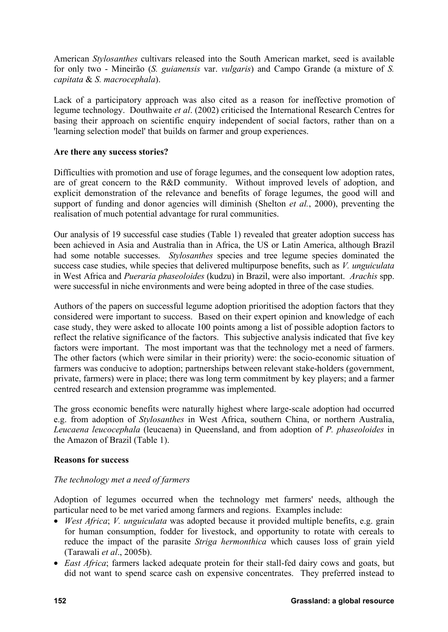American *Stylosanthes* cultivars released into the South American market, seed is available for only two - Mineirão (*S. guianensis* var. *vulgaris*) and Campo Grande (a mixture of *S. capitata* & *S. macrocephala*).

Lack of a participatory approach was also cited as a reason for ineffective promotion of legume technology. Douthwaite *et al*. (2002) criticised the International Research Centres for basing their approach on scientific enquiry independent of social factors, rather than on a 'learning selection model' that builds on farmer and group experiences.

## **Are there any success stories?**

Difficulties with promotion and use of forage legumes, and the consequent low adoption rates, are of great concern to the R&D community. Without improved levels of adoption, and explicit demonstration of the relevance and benefits of forage legumes, the good will and support of funding and donor agencies will diminish (Shelton *et al.*, 2000), preventing the realisation of much potential advantage for rural communities.

Our analysis of 19 successful case studies (Table 1) revealed that greater adoption success has been achieved in Asia and Australia than in Africa, the US or Latin America, although Brazil had some notable successes. *Stylosanthes* species and tree legume species dominated the success case studies, while species that delivered multipurpose benefits, such as *V. unguiculata* in West Africa and *Pueraria phaseoloides* (kudzu) in Brazil, were also important. *Arachis* spp. were successful in niche environments and were being adopted in three of the case studies.

Authors of the papers on successful legume adoption prioritised the adoption factors that they considered were important to success. Based on their expert opinion and knowledge of each case study, they were asked to allocate 100 points among a list of possible adoption factors to reflect the relative significance of the factors. This subjective analysis indicated that five key factors were important. The most important was that the technology met a need of farmers. The other factors (which were similar in their priority) were: the socio-economic situation of farmers was conducive to adoption; partnerships between relevant stake-holders (government, private, farmers) were in place; there was long term commitment by key players; and a farmer centred research and extension programme was implemented.

The gross economic benefits were naturally highest where large-scale adoption had occurred e.g. from adoption of *Stylosanthes* in West Africa, southern China, or northern Australia, *Leucaena leucocephala* (leucaena) in Queensland, and from adoption of *P. phaseoloides* in the Amazon of Brazil (Table 1).

## **Reasons for success**

## *The technology met a need of farmers*

Adoption of legumes occurred when the technology met farmers' needs, although the particular need to be met varied among farmers and regions. Examples include:

- *West Africa*; *V. unguiculata* was adopted because it provided multiple benefits, e.g. grain for human consumption, fodder for livestock, and opportunity to rotate with cereals to reduce the impact of the parasite *Striga hermonthica* which causes loss of grain yield (Tarawali *et al*., 2005b).
- *East Africa*; farmers lacked adequate protein for their stall-fed dairy cows and goats, but did not want to spend scarce cash on expensive concentrates. They preferred instead to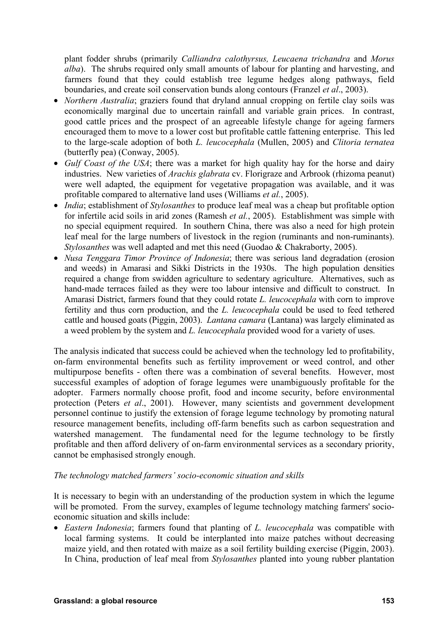plant fodder shrubs (primarily *Calliandra calothyrsus, Leucaena trichandra* and *Morus alba*). The shrubs required only small amounts of labour for planting and harvesting, and farmers found that they could establish tree legume hedges along pathways, field boundaries, and create soil conservation bunds along contours (Franzel *et al*., 2003).

- *Northern Australia:* graziers found that dryland annual cropping on fertile clay soils was economically marginal due to uncertain rainfall and variable grain prices. In contrast, good cattle prices and the prospect of an agreeable lifestyle change for ageing farmers encouraged them to move to a lower cost but profitable cattle fattening enterprise. This led to the large-scale adoption of both *L. leucocephala* (Mullen, 2005) and *Clitoria ternatea* (butterfly pea) (Conway, 2005).
- *Gulf Coast of the USA*; there was a market for high quality hay for the horse and dairy industries. New varieties of *Arachis glabrata* cv. Florigraze and Arbrook (rhizoma peanut) were well adapted, the equipment for vegetative propagation was available, and it was profitable compared to alternative land uses (Williams *et al.*, 2005).
- *India*; establishment of *Stylosanthes* to produce leaf meal was a cheap but profitable option for infertile acid soils in arid zones (Ramesh *et al.*, 2005). Establishment was simple with no special equipment required. In southern China, there was also a need for high protein leaf meal for the large numbers of livestock in the region (ruminants and non-ruminants). *Stylosanthes* was well adapted and met this need (Guodao & Chakraborty, 2005).
- *Nusa Tenggara Timor Province of Indonesia*; there was serious land degradation (erosion and weeds) in Amarasi and Sikki Districts in the 1930s. The high population densities required a change from swidden agriculture to sedentary agriculture. Alternatives, such as hand-made terraces failed as they were too labour intensive and difficult to construct. In Amarasi District, farmers found that they could rotate *L. leucocephala* with corn to improve fertility and thus corn production, and the *L. leucocephala* could be used to feed tethered cattle and housed goats (Piggin, 2003). *Lantana camara* (Lantana) was largely eliminated as a weed problem by the system and *L. leucocephala* provided wood for a variety of uses.

The analysis indicated that success could be achieved when the technology led to profitability, on-farm environmental benefits such as fertility improvement or weed control, and other multipurpose benefits - often there was a combination of several benefits. However, most successful examples of adoption of forage legumes were unambiguously profitable for the adopter. Farmers normally choose profit, food and income security, before environmental protection (Peters *et al*., 2001). However, many scientists and government development personnel continue to justify the extension of forage legume technology by promoting natural resource management benefits, including off-farm benefits such as carbon sequestration and watershed management. The fundamental need for the legume technology to be firstly profitable and then afford delivery of on-farm environmental services as a secondary priority, cannot be emphasised strongly enough.

## *The technology matched farmers' socio-economic situation and skills*

It is necessary to begin with an understanding of the production system in which the legume will be promoted. From the survey, examples of legume technology matching farmers' socioeconomic situation and skills include:

• *Eastern Indonesia*; farmers found that planting of *L. leucocephala* was compatible with local farming systems. It could be interplanted into maize patches without decreasing maize yield, and then rotated with maize as a soil fertility building exercise (Piggin, 2003). In China, production of leaf meal from *Stylosanthes* planted into young rubber plantation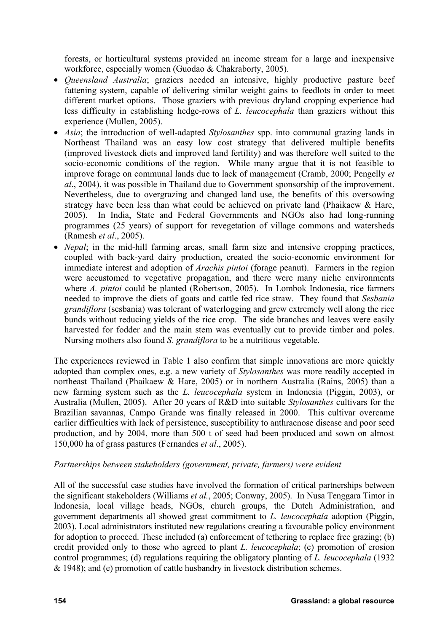forests, or horticultural systems provided an income stream for a large and inexpensive workforce, especially women (Guodao & Chakraborty, 2005).

- *Queensland Australia*; graziers needed an intensive, highly productive pasture beef fattening system, capable of delivering similar weight gains to feedlots in order to meet different market options. Those graziers with previous dryland cropping experience had less difficulty in establishing hedge-rows of *L. leucocephala* than graziers without this experience (Mullen, 2005).
- *Asia*; the introduction of well-adapted *Stylosanthes* spp. into communal grazing lands in Northeast Thailand was an easy low cost strategy that delivered multiple benefits (improved livestock diets and improved land fertility) and was therefore well suited to the socio-economic conditions of the region. While many argue that it is not feasible to improve forage on communal lands due to lack of management (Cramb, 2000; Pengelly *et al*., 2004), it was possible in Thailand due to Government sponsorship of the improvement. Nevertheless, due to overgrazing and changed land use, the benefits of this oversowing strategy have been less than what could be achieved on private land (Phaikaew  $\&$  Hare, 2005). In India, State and Federal Governments and NGOs also had long-running programmes (25 years) of support for revegetation of village commons and watersheds (Ramesh *et al*., 2005).
- *Nepal*; in the mid-hill farming areas, small farm size and intensive cropping practices, coupled with back-yard dairy production, created the socio-economic environment for immediate interest and adoption of *Arachis pintoi* (forage peanut). Farmers in the region were accustomed to vegetative propagation, and there were many niche environments where *A. pintoi* could be planted (Robertson, 2005). In Lombok Indonesia, rice farmers needed to improve the diets of goats and cattle fed rice straw. They found that *Sesbania grandiflora* (sesbania) was tolerant of waterlogging and grew extremely well along the rice bunds without reducing yields of the rice crop. The side branches and leaves were easily harvested for fodder and the main stem was eventually cut to provide timber and poles. Nursing mothers also found *S. grandiflora* to be a nutritious vegetable.

The experiences reviewed in Table 1 also confirm that simple innovations are more quickly adopted than complex ones, e.g. a new variety of *Stylosanthes* was more readily accepted in northeast Thailand (Phaikaew & Hare, 2005) or in northern Australia (Rains, 2005) than a new farming system such as the *L. leucocephala* system in Indonesia (Piggin, 2003), or Australia (Mullen, 2005). After 20 years of R&D into suitable *Stylosanthes* cultivars for the Brazilian savannas, Campo Grande was finally released in 2000. This cultivar overcame earlier difficulties with lack of persistence, susceptibility to anthracnose disease and poor seed production, and by 2004, more than 500 t of seed had been produced and sown on almost 150,000 ha of grass pastures (Fernandes *et al*., 2005).

#### *Partnerships between stakeholders (government, private, farmers) were evident*

All of the successful case studies have involved the formation of critical partnerships between the significant stakeholders (Williams *et al.*, 2005; Conway, 2005). In Nusa Tenggara Timor in Indonesia, local village heads, NGOs, church groups, the Dutch Administration, and government departments all showed great commitment to *L. leucocephala* adoption (Piggin, 2003). Local administrators instituted new regulations creating a favourable policy environment for adoption to proceed. These included (a) enforcement of tethering to replace free grazing; (b) credit provided only to those who agreed to plant *L. leucocephala*; (c) promotion of erosion control programmes; (d) regulations requiring the obligatory planting of *L. leucocephala* (1932 & 1948); and (e) promotion of cattle husbandry in livestock distribution schemes.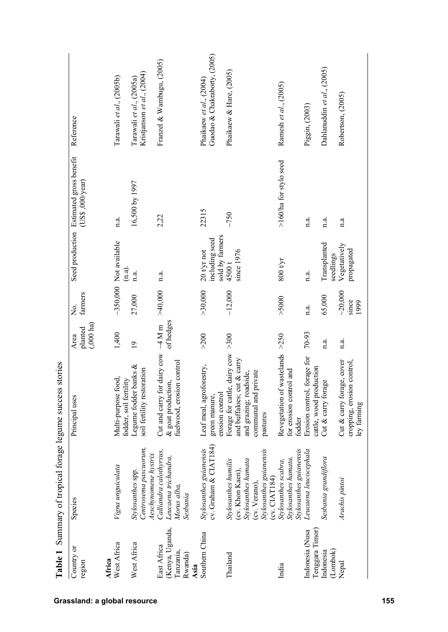| Table 1 Summary of tropical                                    |                                                                                                                                      | forage legume success stories                                                                                                 |                                        |                                     |                                                    |                                                           |                                                         |
|----------------------------------------------------------------|--------------------------------------------------------------------------------------------------------------------------------------|-------------------------------------------------------------------------------------------------------------------------------|----------------------------------------|-------------------------------------|----------------------------------------------------|-----------------------------------------------------------|---------------------------------------------------------|
| Country or<br>region                                           | Species                                                                                                                              | Principal uses                                                                                                                | $(.000 \text{ ha})$<br>planted<br>Area | farmers<br>,<br>Ž                   |                                                    | Seed production Estimated gross benefit<br>(USS,000/year) | Reference                                               |
| West Africa<br>Africa                                          | Vigna unguiculata                                                                                                                    | Multi-purpose food,<br>fodder, soil fertility                                                                                 | 1,400                                  |                                     | $~150,000$ Not available<br>(n.a).                 | n.a.                                                      | Tarawali et al., (2005b)                                |
| West Africa                                                    | Centrosema pascuorum,<br>Aeschynomene hystrix<br>Stylosanthes spp.                                                                   | Legume fodder banks &<br>soil fertility restoration                                                                           | $\overline{19}$                        | 27,000                              | n.a.                                               | 16,500 by 1997                                            | Kristjanson et al., (2004)<br>Tarawali et al., (2005a)  |
| (Kenya, Uganda,<br>East Africa<br>Tanzania,<br>Rwanda)<br>Asia | Calliandra calothyrsus,<br>Leucaena trichandra,<br>Morus alba,<br>Sesbania                                                           | Cut and carry for dairy cow $\sim$ 4 M m<br>fuelwood, erosion control<br>& goat production,                                   | of hedges                              | >40,000                             | n.a.                                               | 2,22                                                      | Franzel & Wambugu, (2005)                               |
| Southern China                                                 | cv. Graham & CIAT184)<br>Stylosanthes guianensis                                                                                     | Leaf meal, agroforestry,<br>erosion control<br>green manure,                                                                  | $>200$                                 | >30,000                             | sold by farmers<br>including seed<br>$20$ t/yr not | 22315                                                     | Guodao & Chakraborty, (2005)<br>Phaikaew et al., (2004) |
| Thailand                                                       | Stylosanthes guianensis<br>Stylosanthes hamata<br>Stylosanthes humilis<br>(cv. Khon Kaen),<br>$(cv. \text{CAT}184)$<br>(cv. Verano), | Forage for cattle, dairy cow >300<br>and buffaloes; cut & carry<br>communal and private<br>and grazing; roadside,<br>pastures |                                        | ~12,000                             | since 1976<br>4500 t                               | $-750$                                                    | Phaikaew & Hare, (2005)                                 |
| India                                                          | Stylosanthes guianensis<br>Stylosanthes hamata,<br>Stylosanthes scabra,                                                              | Revegetation of wastelands $>250$<br>for erosion control and<br>fodder                                                        |                                        | >5000                               | 800 t/уг                                           | >160/ha for stylo seed                                    | Ramesh et al., (2005)                                   |
| Tenggara Timor<br>Indonesia (Nusa                              | Leucaena leucocephala                                                                                                                | Erosion control, forage for<br>cattle, wood production                                                                        | 70-93                                  | n.a.                                | n.a.                                               | n.a.                                                      | Piggin, (2003)                                          |
| (Lombok)<br>Indonesia                                          | Sesbania grandiflora                                                                                                                 | Cut & carry forage                                                                                                            | n.a.                                   | 65,000                              | Transplanted<br>seedlings                          | n.a.                                                      | Dahlanuddin et al., (2005)                              |
| Nepal                                                          | Arachis pintoi                                                                                                                       | Cut & carry forage, cover<br>cropping, erosion control<br>ley farming                                                         | n.a.                                   | $\sim\!\!20,\!000$<br>since<br>1999 | Vegetatively<br>propagated                         | n.a                                                       | Robertson, (2005)                                       |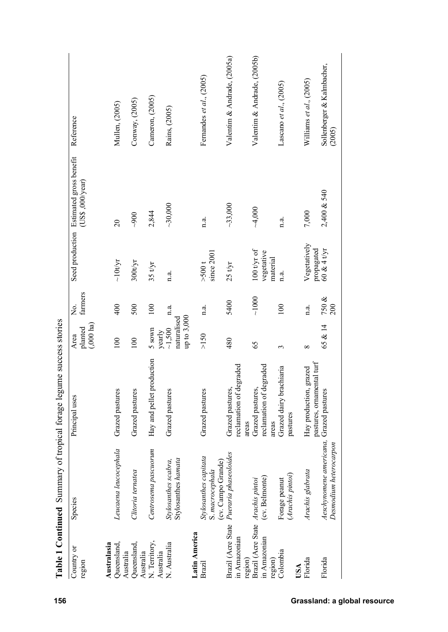| Table 1 Continued Summar                                     |                                                                   | y of tropical forage legume success stories          |                                                |               |                             |                                                                     |                                      |
|--------------------------------------------------------------|-------------------------------------------------------------------|------------------------------------------------------|------------------------------------------------|---------------|-----------------------------|---------------------------------------------------------------------|--------------------------------------|
| Country or<br>region                                         | Species                                                           | Principal uses                                       | $(.000 \text{ ha})$<br>planted<br>Area         | farmers<br>Ż. |                             | Seed production Estimated gross benefit<br>$(USS, 000/\text{year})$ | Reference                            |
| Australasia<br>Queensland,                                   | Leucaena leucocephala                                             | Grazed pastures                                      | 100                                            | 400           | $~10$ t/yr                  | $\overline{c}$                                                      | Mullen, (2005)                       |
| Queensland,<br>Australia                                     | Clitoria ternatea                                                 | Grazed pastures                                      | $\overline{100}$                               | 500           | 300t/уг                     | $-900$                                                              | Conway, (2005)                       |
| N. Territory,<br>Australia                                   | Centrosema pascuorum                                              | Hay and pellet production                            | 5 sown                                         | 100           | $35$ t/yr                   | 2,844                                                               | Cameron, (2005)                      |
| N. Australia<br>Australia                                    | Stylosanthes hamata<br>Stylosanthes scabra,                       | Grazed pastures                                      | up to 3,000<br>naturalised<br>~1,500<br>yearly | n.a.          | n.a.                        | $-30,000$                                                           | Rains, (2005)                        |
| Latin America                                                |                                                                   |                                                      |                                                |               |                             |                                                                     |                                      |
| Brazil                                                       | Stylosanthes capitata<br>(cv. Campo Grande)<br>S. macrocephala    | Grazed pastures                                      | >150                                           | n.a.          | since 2001<br>$1005<$       | n.a.                                                                | Fernandes et $al$ , $(2005)$         |
| in Amazonian                                                 | Brazil (Acre State Pueraria phaseoloides                          | reclamation of degraded<br>Grazed pastures,          | 480                                            | 5400          | 25 t/yr                     | $-33,000$                                                           | Valentim & Andrade, (2005a)          |
| Brazil (Acre State Arachis pintoi<br>in Amazonian<br>region) | (cv. Belmonte)                                                    | reclamation of degraded<br>Grazed pastures.<br>areas | 65                                             | ~1000         | $100$ t/yr of<br>vegetative | $-4,000$                                                            | Valentim & Andrade, (2005b)          |
| Colombia<br>region)                                          | Forage peanut<br>(Arachis pintoi)                                 | Grazed dairy brachiaria<br>pastures<br>areas         | 3                                              | 100           | material<br>$a$ .           | n.a.                                                                | Lascano et $al$ ., $(2005)$          |
| Florida<br>USA                                               | Arachis glabrata                                                  | Hay production, grazed                               | ${}^{\circ}$                                   | n.a.          | Vegetatively                | 7,000                                                               | Williams et al., (2005)              |
| Florida                                                      | Aeschynomene americana, Grazed pastures<br>Desmodium heterocarpon | pastures, ornamental turf                            | 65 & 14                                        | 750 &<br>200  | 60 & 4 t/yr<br>propagated   | 2,400 & 540                                                         | Sollenberger & Kalmbacher,<br>(2005) |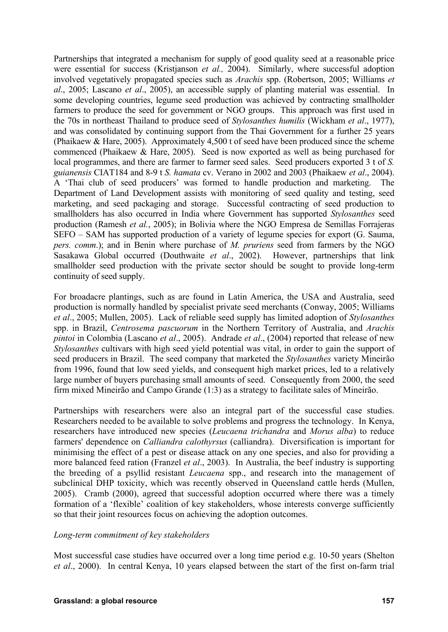Partnerships that integrated a mechanism for supply of good quality seed at a reasonable price were essential for success (Kristjanson *et al.,* 2004). Similarly, where successful adoption involved vegetatively propagated species such as *Arachis* spp. (Robertson, 2005; Williams *et al*., 2005; Lascano *et al*., 2005), an accessible supply of planting material was essential. In some developing countries, legume seed production was achieved by contracting smallholder farmers to produce the seed for government or NGO groups. This approach was first used in the 70s in northeast Thailand to produce seed of *Stylosanthes humilis* (Wickham *et al*., 1977), and was consolidated by continuing support from the Thai Government for a further 25 years (Phaikaew & Hare, 2005). Approximately 4,500 t of seed have been produced since the scheme commenced (Phaikaew & Hare, 2005). Seed is now exported as well as being purchased for local programmes, and there are farmer to farmer seed sales. Seed producers exported 3 t of *S. guianensis* CIAT184 and 8-9 t *S. hamata* cv. Verano in 2002 and 2003 (Phaikaew *et al*., 2004). A 'Thai club of seed producers' was formed to handle production and marketing. The Department of Land Development assists with monitoring of seed quality and testing, seed marketing, and seed packaging and storage. Successful contracting of seed production to smallholders has also occurred in India where Government has supported *Stylosanthes* seed production (Ramesh *et al.*, 2005); in Bolivia where the NGO Empresa de Semillas Forrajeras SEFO – SAM has supported production of a variety of legume species for export (G. Sauma, *pers. comm*.); and in Benin where purchase of *M. pruriens* seed from farmers by the NGO Sasakawa Global occurred (Douthwaite *et al*., 2002). However, partnerships that link smallholder seed production with the private sector should be sought to provide long-term continuity of seed supply.

For broadacre plantings, such as are found in Latin America, the USA and Australia, seed production is normally handled by specialist private seed merchants (Conway, 2005; Williams *et al*., 2005; Mullen, 2005). Lack of reliable seed supply has limited adoption of *Stylosanthes* spp. in Brazil, *Centrosema pascuorum* in the Northern Territory of Australia, and *Arachis pintoi* in Colombia (Lascano *et al*., 2005). Andrade *et al*., (2004) reported that release of new *Stylosanthes* cultivars with high seed yield potential was vital, in order to gain the support of seed producers in Brazil. The seed company that marketed the *Stylosanthes* variety Mineirão from 1996, found that low seed yields, and consequent high market prices, led to a relatively large number of buyers purchasing small amounts of seed. Consequently from 2000, the seed firm mixed Mineirão and Campo Grande (1:3) as a strategy to facilitate sales of Mineirão.

Partnerships with researchers were also an integral part of the successful case studies. Researchers needed to be available to solve problems and progress the technology. In Kenya, researchers have introduced new species (*Leucaena trichandra* and *Morus alba*) to reduce farmers' dependence on *Calliandra calothyrsus* (calliandra). Diversification is important for minimising the effect of a pest or disease attack on any one species, and also for providing a more balanced feed ration (Franzel *et al*., 2003). In Australia, the beef industry is supporting the breeding of a psyllid resistant *Leucaena* spp., and research into the management of subclinical DHP toxicity, which was recently observed in Queensland cattle herds (Mullen, 2005). Cramb (2000), agreed that successful adoption occurred where there was a timely formation of a 'flexible' coalition of key stakeholders, whose interests converge sufficiently so that their joint resources focus on achieving the adoption outcomes.

#### *Long-term commitment of key stakeholders*

Most successful case studies have occurred over a long time period e.g. 10-50 years (Shelton *et al*., 2000). In central Kenya, 10 years elapsed between the start of the first on-farm trial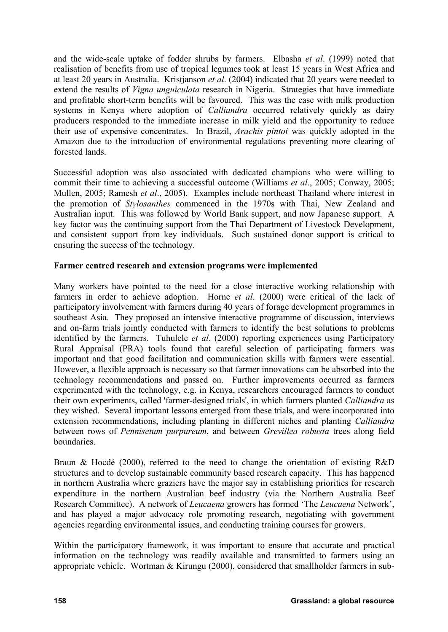and the wide-scale uptake of fodder shrubs by farmers. Elbasha *et al*. (1999) noted that realisation of benefits from use of tropical legumes took at least 15 years in West Africa and at least 20 years in Australia. Kristjanson *et al*. (2004) indicated that 20 years were needed to extend the results of *Vigna unguiculata* research in Nigeria. Strategies that have immediate and profitable short-term benefits will be favoured. This was the case with milk production systems in Kenya where adoption of *Calliandra* occurred relatively quickly as dairy producers responded to the immediate increase in milk yield and the opportunity to reduce their use of expensive concentrates. In Brazil, *Arachis pintoi* was quickly adopted in the Amazon due to the introduction of environmental regulations preventing more clearing of forested lands.

Successful adoption was also associated with dedicated champions who were willing to commit their time to achieving a successful outcome (Williams *et al*., 2005; Conway, 2005; Mullen, 2005; Ramesh *et al*., 2005). Examples include northeast Thailand where interest in the promotion of *Stylosanthes* commenced in the 1970s with Thai, New Zealand and Australian input. This was followed by World Bank support, and now Japanese support. A key factor was the continuing support from the Thai Department of Livestock Development, and consistent support from key individuals. Such sustained donor support is critical to ensuring the success of the technology.

## **Farmer centred research and extension programs were implemented**

Many workers have pointed to the need for a close interactive working relationship with farmers in order to achieve adoption. Horne *et al*. (2000) were critical of the lack of participatory involvement with farmers during 40 years of forage development programmes in southeast Asia. They proposed an intensive interactive programme of discussion, interviews and on-farm trials jointly conducted with farmers to identify the best solutions to problems identified by the farmers. Tuhulele *et al*. (2000) reporting experiences using Participatory Rural Appraisal (PRA) tools found that careful selection of participating farmers was important and that good facilitation and communication skills with farmers were essential. However, a flexible approach is necessary so that farmer innovations can be absorbed into the technology recommendations and passed on. Further improvements occurred as farmers experimented with the technology, e.g. in Kenya, researchers encouraged farmers to conduct their own experiments, called 'farmer-designed trials', in which farmers planted *Calliandra* as they wished. Several important lessons emerged from these trials, and were incorporated into extension recommendations, including planting in different niches and planting *Calliandra* between rows of *Pennisetum purpureum*, and between *Grevillea robusta* trees along field boundaries.

Braun & Hocdé (2000), referred to the need to change the orientation of existing R&D structures and to develop sustainable community based research capacity. This has happened in northern Australia where graziers have the major say in establishing priorities for research expenditure in the northern Australian beef industry (via the Northern Australia Beef Research Committee). A network of *Leucaena* growers has formed 'The *Leucaena* Network', and has played a major advocacy role promoting research, negotiating with government agencies regarding environmental issues, and conducting training courses for growers.

Within the participatory framework, it was important to ensure that accurate and practical information on the technology was readily available and transmitted to farmers using an appropriate vehicle. Wortman & Kirungu (2000), considered that smallholder farmers in sub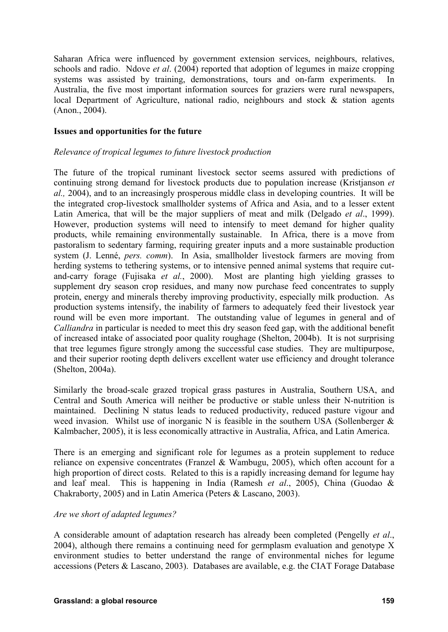Saharan Africa were influenced by government extension services, neighbours, relatives, schools and radio. Ndove *et al*. (2004) reported that adoption of legumes in maize cropping systems was assisted by training, demonstrations, tours and on-farm experiments. In Australia, the five most important information sources for graziers were rural newspapers, local Department of Agriculture, national radio, neighbours and stock & station agents (Anon., 2004).

#### **Issues and opportunities for the future**

#### *Relevance of tropical legumes to future livestock production*

The future of the tropical ruminant livestock sector seems assured with predictions of continuing strong demand for livestock products due to population increase (Kristianson *et al.,* 2004), and to an increasingly prosperous middle class in developing countries. It will be the integrated crop-livestock smallholder systems of Africa and Asia, and to a lesser extent Latin America, that will be the major suppliers of meat and milk (Delgado *et al*., 1999). However, production systems will need to intensify to meet demand for higher quality products, while remaining environmentally sustainable. In Africa, there is a move from pastoralism to sedentary farming, requiring greater inputs and a more sustainable production system (J. Lenné, *pers. comm*). In Asia, smallholder livestock farmers are moving from herding systems to tethering systems, or to intensive penned animal systems that require cutand-carry forage (Fujisaka *et al.*, 2000). Most are planting high yielding grasses to supplement dry season crop residues, and many now purchase feed concentrates to supply protein, energy and minerals thereby improving productivity, especially milk production. As production systems intensify, the inability of farmers to adequately feed their livestock year round will be even more important. The outstanding value of legumes in general and of *Calliandra* in particular is needed to meet this dry season feed gap, with the additional benefit of increased intake of associated poor quality roughage (Shelton, 2004b). It is not surprising that tree legumes figure strongly among the successful case studies. They are multipurpose, and their superior rooting depth delivers excellent water use efficiency and drought tolerance (Shelton, 2004a).

Similarly the broad-scale grazed tropical grass pastures in Australia, Southern USA, and Central and South America will neither be productive or stable unless their N-nutrition is maintained. Declining N status leads to reduced productivity, reduced pasture vigour and weed invasion. Whilst use of inorganic N is feasible in the southern USA (Sollenberger  $\&$ Kalmbacher, 2005), it is less economically attractive in Australia, Africa, and Latin America.

There is an emerging and significant role for legumes as a protein supplement to reduce reliance on expensive concentrates (Franzel & Wambugu, 2005), which often account for a high proportion of direct costs. Related to this is a rapidly increasing demand for legume hay and leaf meal. This is happening in India (Ramesh *et al*., 2005), China (Guodao & Chakraborty, 2005) and in Latin America (Peters & Lascano, 2003).

## *Are we short of adapted legumes?*

A considerable amount of adaptation research has already been completed (Pengelly *et al*., 2004), although there remains a continuing need for germplasm evaluation and genotype X environment studies to better understand the range of environmental niches for legume accessions (Peters & Lascano, 2003). Databases are available, e.g. the CIAT Forage Database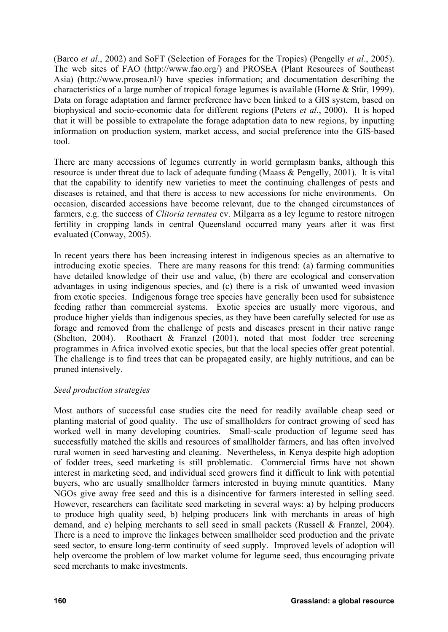(Barco *et al*., 2002) and SoFT (Selection of Forages for the Tropics) (Pengelly *et al*., 2005). The web sites of FAO (http://www.fao.org/) and PROSEA (Plant Resources of Southeast Asia) (http://www.prosea.nl/) have species information; and documentation describing the characteristics of a large number of tropical forage legumes is available (Horne & Stür, 1999). Data on forage adaptation and farmer preference have been linked to a GIS system, based on biophysical and socio-economic data for different regions (Peters *et al*., 2000). It is hoped that it will be possible to extrapolate the forage adaptation data to new regions, by inputting information on production system, market access, and social preference into the GIS-based tool.

There are many accessions of legumes currently in world germplasm banks, although this resource is under threat due to lack of adequate funding (Maass & Pengelly, 2001). It is vital that the capability to identify new varieties to meet the continuing challenges of pests and diseases is retained, and that there is access to new accessions for niche environments. On occasion, discarded accessions have become relevant, due to the changed circumstances of farmers, e.g. the success of *Clitoria ternatea* cv. Milgarra as a ley legume to restore nitrogen fertility in cropping lands in central Queensland occurred many years after it was first evaluated (Conway, 2005).

In recent years there has been increasing interest in indigenous species as an alternative to introducing exotic species. There are many reasons for this trend: (a) farming communities have detailed knowledge of their use and value, (b) there are ecological and conservation advantages in using indigenous species, and (c) there is a risk of unwanted weed invasion from exotic species. Indigenous forage tree species have generally been used for subsistence feeding rather than commercial systems. Exotic species are usually more vigorous, and produce higher yields than indigenous species, as they have been carefully selected for use as forage and removed from the challenge of pests and diseases present in their native range (Shelton, 2004). Roothaert & Franzel (2001), noted that most fodder tree screening programmes in Africa involved exotic species, but that the local species offer great potential. The challenge is to find trees that can be propagated easily, are highly nutritious, and can be pruned intensively.

#### *Seed production strategies*

Most authors of successful case studies cite the need for readily available cheap seed or planting material of good quality. The use of smallholders for contract growing of seed has worked well in many developing countries. Small-scale production of legume seed has successfully matched the skills and resources of smallholder farmers, and has often involved rural women in seed harvesting and cleaning. Nevertheless, in Kenya despite high adoption of fodder trees, seed marketing is still problematic. Commercial firms have not shown interest in marketing seed, and individual seed growers find it difficult to link with potential buyers, who are usually smallholder farmers interested in buying minute quantities. Many NGOs give away free seed and this is a disincentive for farmers interested in selling seed. However, researchers can facilitate seed marketing in several ways: a) by helping producers to produce high quality seed, b) helping producers link with merchants in areas of high demand, and c) helping merchants to sell seed in small packets (Russell  $\&$  Franzel, 2004). There is a need to improve the linkages between smallholder seed production and the private seed sector, to ensure long-term continuity of seed supply. Improved levels of adoption will help overcome the problem of low market volume for legume seed, thus encouraging private seed merchants to make investments.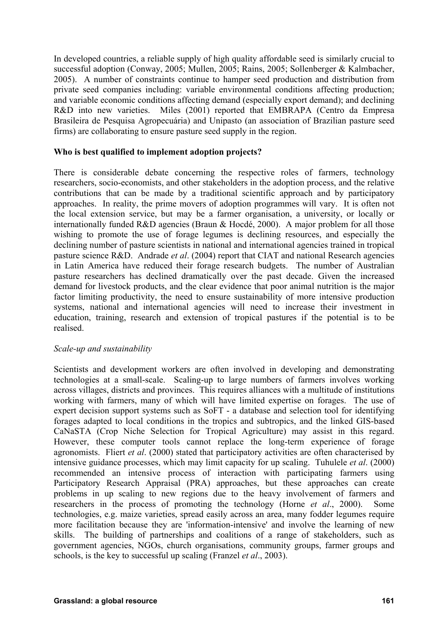In developed countries, a reliable supply of high quality affordable seed is similarly crucial to successful adoption (Conway, 2005; Mullen, 2005; Rains, 2005; Sollenberger & Kalmbacher, 2005). A number of constraints continue to hamper seed production and distribution from private seed companies including: variable environmental conditions affecting production; and variable economic conditions affecting demand (especially export demand); and declining R&D into new varieties. Miles (2001) reported that EMBRAPA (Centro da Empresa Brasileira de Pesquisa Agropecuária) and Unipasto (an association of Brazilian pasture seed firms) are collaborating to ensure pasture seed supply in the region.

#### **Who is best qualified to implement adoption projects?**

There is considerable debate concerning the respective roles of farmers, technology researchers, socio-economists, and other stakeholders in the adoption process, and the relative contributions that can be made by a traditional scientific approach and by participatory approaches. In reality, the prime movers of adoption programmes will vary. It is often not the local extension service, but may be a farmer organisation, a university, or locally or internationally funded R&D agencies (Braun & Hocdé, 2000). A major problem for all those wishing to promote the use of forage legumes is declining resources, and especially the declining number of pasture scientists in national and international agencies trained in tropical pasture science R&D. Andrade *et al*. (2004) report that CIAT and national Research agencies in Latin America have reduced their forage research budgets. The number of Australian pasture researchers has declined dramatically over the past decade. Given the increased demand for livestock products, and the clear evidence that poor animal nutrition is the major factor limiting productivity, the need to ensure sustainability of more intensive production systems, national and international agencies will need to increase their investment in education, training, research and extension of tropical pastures if the potential is to be realised.

#### *Scale-up and sustainability*

Scientists and development workers are often involved in developing and demonstrating technologies at a small-scale. Scaling-up to large numbers of farmers involves working across villages, districts and provinces. This requires alliances with a multitude of institutions working with farmers, many of which will have limited expertise on forages. The use of expert decision support systems such as SoFT - a database and selection tool for identifying forages adapted to local conditions in the tropics and subtropics, and the linked GIS-based CaNaSTA (Crop Niche Selection for Tropical Agriculture) may assist in this regard. However, these computer tools cannot replace the long-term experience of forage agronomists. Fliert *et al*. (2000) stated that participatory activities are often characterised by intensive guidance processes, which may limit capacity for up scaling. Tuhulele *et al*. (2000) recommended an intensive process of interaction with participating farmers using Participatory Research Appraisal (PRA) approaches, but these approaches can create problems in up scaling to new regions due to the heavy involvement of farmers and researchers in the process of promoting the technology (Horne *et al*., 2000). Some technologies, e.g. maize varieties, spread easily across an area, many fodder legumes require more facilitation because they are 'information-intensive' and involve the learning of new skills. The building of partnerships and coalitions of a range of stakeholders, such as government agencies, NGOs, church organisations, community groups, farmer groups and schools, is the key to successful up scaling (Franzel *et al*., 2003).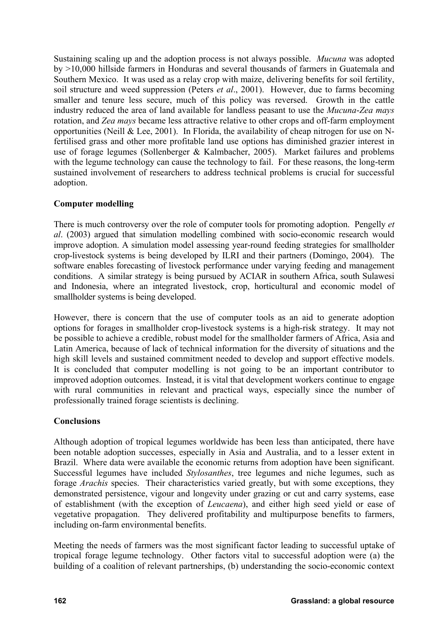Sustaining scaling up and the adoption process is not always possible. *Mucuna* was adopted by >10,000 hillside farmers in Honduras and several thousands of farmers in Guatemala and Southern Mexico. It was used as a relay crop with maize, delivering benefits for soil fertility, soil structure and weed suppression (Peters *et al*., 2001). However, due to farms becoming smaller and tenure less secure, much of this policy was reversed. Growth in the cattle industry reduced the area of land available for landless peasant to use the *Mucuna*-*Zea mays* rotation, and *Zea mays* became less attractive relative to other crops and off-farm employment opportunities (Neill & Lee, 2001). In Florida, the availability of cheap nitrogen for use on Nfertilised grass and other more profitable land use options has diminished grazier interest in use of forage legumes (Sollenberger & Kalmbacher, 2005). Market failures and problems with the legume technology can cause the technology to fail. For these reasons, the long-term sustained involvement of researchers to address technical problems is crucial for successful adoption.

## **Computer modelling**

There is much controversy over the role of computer tools for promoting adoption. Pengelly *et al*. (2003) argued that simulation modelling combined with socio-economic research would improve adoption. A simulation model assessing year-round feeding strategies for smallholder crop-livestock systems is being developed by ILRI and their partners (Domingo, 2004). The software enables forecasting of livestock performance under varying feeding and management conditions. A similar strategy is being pursued by ACIAR in southern Africa, south Sulawesi and Indonesia, where an integrated livestock, crop, horticultural and economic model of smallholder systems is being developed.

However, there is concern that the use of computer tools as an aid to generate adoption options for forages in smallholder crop-livestock systems is a high-risk strategy. It may not be possible to achieve a credible, robust model for the smallholder farmers of Africa, Asia and Latin America, because of lack of technical information for the diversity of situations and the high skill levels and sustained commitment needed to develop and support effective models. It is concluded that computer modelling is not going to be an important contributor to improved adoption outcomes. Instead, it is vital that development workers continue to engage with rural communities in relevant and practical ways, especially since the number of professionally trained forage scientists is declining.

## **Conclusions**

Although adoption of tropical legumes worldwide has been less than anticipated, there have been notable adoption successes, especially in Asia and Australia, and to a lesser extent in Brazil. Where data were available the economic returns from adoption have been significant. Successful legumes have included *Stylosanthes*, tree legumes and niche legumes, such as forage *Arachis* species. Their characteristics varied greatly, but with some exceptions, they demonstrated persistence, vigour and longevity under grazing or cut and carry systems, ease of establishment (with the exception of *Leucaena*), and either high seed yield or ease of vegetative propagation. They delivered profitability and multipurpose benefits to farmers, including on-farm environmental benefits.

Meeting the needs of farmers was the most significant factor leading to successful uptake of tropical forage legume technology. Other factors vital to successful adoption were (a) the building of a coalition of relevant partnerships, (b) understanding the socio-economic context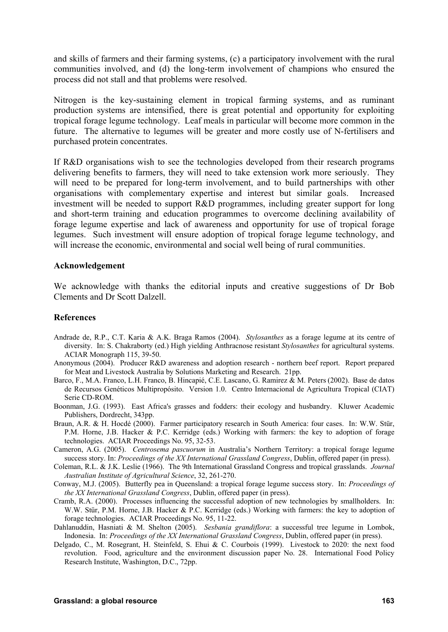and skills of farmers and their farming systems, (c) a participatory involvement with the rural communities involved, and (d) the long-term involvement of champions who ensured the process did not stall and that problems were resolved.

Nitrogen is the key-sustaining element in tropical farming systems, and as ruminant production systems are intensified, there is great potential and opportunity for exploiting tropical forage legume technology. Leaf meals in particular will become more common in the future. The alternative to legumes will be greater and more costly use of N-fertilisers and purchased protein concentrates.

If R&D organisations wish to see the technologies developed from their research programs delivering benefits to farmers, they will need to take extension work more seriously. They will need to be prepared for long-term involvement, and to build partnerships with other organisations with complementary expertise and interest but similar goals. Increased investment will be needed to support R&D programmes, including greater support for long and short-term training and education programmes to overcome declining availability of forage legume expertise and lack of awareness and opportunity for use of tropical forage legumes. Such investment will ensure adoption of tropical forage legume technology, and will increase the economic, environmental and social well being of rural communities.

#### **Acknowledgement**

We acknowledge with thanks the editorial inputs and creative suggestions of Dr Bob Clements and Dr Scott Dalzell.

#### **References**

- Andrade de, R.P., C.T. Karia & A.K. Braga Ramos (2004). *Stylosanthes* as a forage legume at its centre of diversity. In: S. Chakraborty (ed.) High yielding Anthracnose resistant *Stylosanthes* for agricultural systems. ACIAR Monograph 115, 39-50.
- Anonymous (2004). Producer R&D awareness and adoption research northern beef report. Report prepared for Meat and Livestock Australia by Solutions Marketing and Research. 21pp.
- Barco, F., M.A. Franco, L.H. Franco, B. Hincapié, C.E. Lascano, G. Ramirez & M. Peters (2002). Base de datos de Recursos Genéticos Multipropósito. Version 1.0. Centro Internacional de Agricultura Tropical (CIAT) Serie CD-ROM.
- Boonman, J.G. (1993). East Africa's grasses and fodders: their ecology and husbandry. Kluwer Academic Publishers, Dordrecht, 343pp.
- Braun, A.R. & H. Hocdé (2000). Farmer participatory research in South America: four cases. In: W.W. Stür, P.M. Horne, J.B. Hacker & P.C. Kerridge (eds.) Working with farmers: the key to adoption of forage technologies. ACIAR Proceedings No. 95, 32-53.
- Cameron, A.G. (2005). *Centrosema pascuorum* in Australia's Northern Territory: a tropical forage legume success story. In: *Proceedings of the XX International Grassland Congress*, Dublin, offered paper (in press).
- Coleman, R.L. & J.K. Leslie (1966). The 9th International Grassland Congress and tropical grasslands. *Journal Australian Institute of Agricultural Science*, 32, 261-270.
- Conway, M.J. (2005). Butterfly pea in Queensland: a tropical forage legume success story. In: *Proceedings of the XX International Grassland Congress*, Dublin, offered paper (in press).
- Cramb, R.A. (2000). Processes influencing the successful adoption of new technologies by smallholders. In: W.W. Stür, P.M. Horne, J.B. Hacker & P.C. Kerridge (eds.) Working with farmers: the key to adoption of forage technologies. ACIAR Proceedings No. 95, 11-22.
- Dahlanuddin, Hasniati & M. Shelton (2005). *Sesbania grandiflora*: a successful tree legume in Lombok, Indonesia. In: *Proceedings of the XX International Grassland Congress*, Dublin, offered paper (in press).
- Delgado, C., M. Rosegrant, H. Steinfeld, S. Ehui & C. Courbois (1999). Livestock to 2020: the next food revolution. Food, agriculture and the environment discussion paper No. 28. International Food Policy Research Institute, Washington, D.C., 72pp.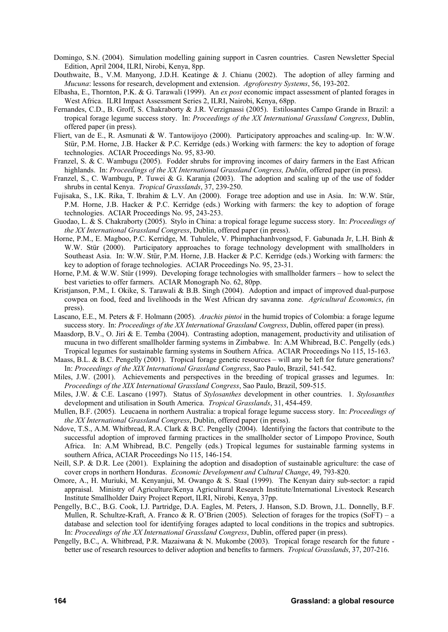- Domingo, S.N. (2004). Simulation modelling gaining support in Casren countries. Casren Newsletter Special Edition, April 2004, ILRI, Nirobi, Kenya, 8pp.
- Douthwaite, B., V.M. Manyong, J.D.H. Keatinge & J. Chianu (2002). The adoption of alley farming and *Mucuna*: lessons for research, development and extension. *Agroforestry Systems*, 56, 193-202.
- Elbasha, E., Thornton, P.K. & G. Tarawali (1999). An *ex post* economic impact assessment of planted forages in West Africa. ILRI Impact Assessment Series 2, ILRI, Nairobi, Kenya, 68pp.
- Fernandes, C.D., B. Groff, S. Chakraborty & J.R. Verzignassi (2005). Estilosantes Campo Grande in Brazil: a tropical forage legume success story. In: *Proceedings of the XX International Grassland Congress*, Dublin, offered paper (in press).
- Fliert, van de E., R. Asmunati & W. Tantowijoyo (2000). Participatory approaches and scaling-up. In: W.W. Stür, P.M. Horne, J.B. Hacker & P.C. Kerridge (eds.) Working with farmers: the key to adoption of forage technologies. ACIAR Proceedings No. 95, 83-90.
- Franzel, S. & C. Wambugu (2005). Fodder shrubs for improving incomes of dairy farmers in the East African highlands. In: *Proceedings of the XX International Grassland Congress, Dublin*, offered paper (in press).
- Franzel, S., C. Wambugu, P. Tuwei & G. Karanja (2003). The adoption and scaling up of the use of fodder shrubs in cental Kenya. *Tropical Grasslands*, 37, 239-250.
- Fujisaka, S., I.K. Rika, T. Ibrahim & L.V. An (2000). Forage tree adoption and use in Asia. In: W.W. Stür, P.M. Horne, J.B. Hacker & P.C. Kerridge (eds.) Working with farmers: the key to adoption of forage technologies. ACIAR Proceedings No. 95, 243-253.
- Guodao, L. & S. Chakraborty (2005). Stylo in China: a tropical forage legume success story. In: *Proceedings of the XX International Grassland Congress*, Dublin, offered paper (in press).
- Horne, P.M., E. Magboo, P.C. Kerridge, M. Tuhulele, V. Phimphachanhvongsod, F. Gabunada Jr, L.H. Binh & W.W. Stür (2000). Participatory approaches to forage technology development with smallholders in Southeast Asia. In: W.W. Stür, P.M. Horne, J.B. Hacker & P.C. Kerridge (eds.) Working with farmers: the key to adoption of forage technologies. ACIAR Proceedings No. 95, 23-31.
- Horne, P.M. & W.W. Stür (1999). Developing forage technologies with smallholder farmers how to select the best varieties to offer farmers. ACIAR Monograph No. 62, 80pp.
- Kristianson, P.M., I. Okike, S. Tarawali & B.B. Singh (2004). Adoption and impact of improved dual-purpose cowpea on food, feed and livelihoods in the West African dry savanna zone. *Agricultural Economics*, *(*in press).
- Lascano, E.E., M. Peters & F. Holmann (2005). *Arachis pintoi* in the humid tropics of Colombia: a forage legume success story. In: *Proceedings of the XX International Grassland Congress*, Dublin, offered paper (in press).
- Maasdorp, B.V., O. Jiri & E. Temba (2004). Contrasting adoption, management, productivity and utilisation of mucuna in two different smallholder farming systems in Zimbabwe. In: A.M Whibread, B.C. Pengelly (eds.) Tropical legumes for sustainable farming systems in Southern Africa. ACIAR Proceedings No 115, 15-163.
- Maass, B.L.  $\&$  B.C. Pengelly (2001). Tropical forage genetic resources will any be left for future generations? In: *Proceedings of the XIX International Grassland Congress*, Sao Paulo, Brazil, 541-542.
- Miles, J.W. (2001). Achievements and perspectives in the breeding of tropical grasses and legumes. In: *Proceedings of the XIX International Grassland Congress*, Sao Paulo, Brazil, 509-515.
- Miles, J.W. & C.E. Lascano (1997). Status of *Stylosanthes* development in other countries. 1. *Stylosanthes* development and utilisation in South America. *Tropical Grasslands*, 31, 454-459.
- Mullen, B.F. (2005). Leucaena in northern Australia: a tropical forage legume success story. In: *Proceedings of the XX International Grassland Congress*, Dublin, offered paper (in press).
- Ndove, T.S., A.M. Whitbread, R.A. Clark & B.C. Pengelly (2004). Identifying the factors that contribute to the successful adoption of improved farming practices in the smallholder sector of Limpopo Province, South Africa. In: A.M Whibread, B.C. Pengelly (eds.) Tropical legumes for sustainable farming systems in southern Africa, ACIAR Proceedings No 115, 146-154.
- Neill, S.P. & D.R. Lee (2001). Explaining the adoption and disadoption of sustainable agriculture: the case of cover crops in northern Honduras. *Economic Development and Cultural Change*, 49, 793-820.
- Omore, A., H. Muriuki, M. Kenyanjui, M. Owango & S. Staal (1999). The Kenyan dairy sub-sector: a rapid appraisal. Ministry of Agriculture/Kenya Agricultural Research Institute/International Livestock Research Institute Smallholder Dairy Project Report, ILRI, Nirobi, Kenya, 37pp.
- Pengelly, B.C., B.G. Cook, I.J. Partridge, D.A. Eagles, M. Peters, J. Hanson, S.D. Brown, J.L. Donnelly, B.F. Mullen, R. Schultze-Kraft, A. Franco & R. O'Brien (2005). Selection of forages for the tropics (SoFT) – a database and selection tool for identifying forages adapted to local conditions in the tropics and subtropics. In: *Proceedings of the XX International Grassland Congress*, Dublin, offered paper (in press).
- Pengelly, B.C., A. Whitbread, P.R. Mazaiwana & N. Mukombe (2003). Tropical forage research for the future better use of research resources to deliver adoption and benefits to farmers. *Tropical Grasslands*, 37, 207-216.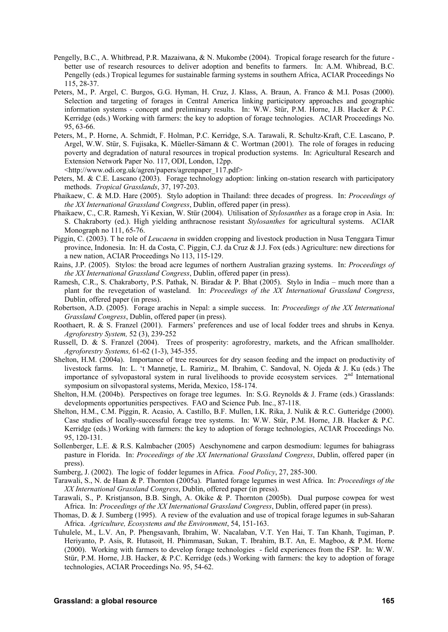- Pengelly, B.C., A. Whitbread, P.R. Mazaiwana, & N. Mukombe (2004). Tropical forage research for the future better use of research resources to deliver adoption and benefits to farmers. In: A.M. Whibread, B.C. Pengelly (eds.) Tropical legumes for sustainable farming systems in southern Africa, ACIAR Proceedings No 115, 28-37.
- Peters, M., P. Argel, C. Burgos, G.G. Hyman, H. Cruz, J. Klass, A. Braun, A. Franco & M.I. Posas (2000). Selection and targeting of forages in Central America linking participatory approaches and geographic information systems - concept and preliminary results. In: W.W. Stür, P.M. Horne, J.B. Hacker & P.C. Kerridge (eds.) Working with farmers: the key to adoption of forage technologies. ACIAR Proceedings No. 95, 63-66.
- Peters, M., P. Horne, A. Schmidt, F. Holman, P.C. Kerridge, S.A. Tarawali, R. Schultz-Kraft, C.E. Lascano, P. Argel, W.W. Stür, S. Fujisaka, K. Müeller-Sämann & C. Wortman (2001). The role of forages in reducing poverty and degradation of natural resources in tropical production systems. In: Agricultural Research and Extension Network Paper No. 117, ODI, London, 12pp.
	- <http://www.odi.org.uk/agren/papers/agrenpaper\_117.pdf>
- Peters, M. & C.E. Lascano (2003). Forage technology adoption: linking on-station research with participatory methods. *Tropical Grasslands*, 37, 197-203.
- Phaikaew, C. & M.D. Hare (2005). Stylo adoption in Thailand: three decades of progress. In: *Proceedings of the XX International Grassland Congress*, Dublin, offered paper (in press).
- Phaikaew, C., C.R. Ramesh, Yi Kexian, W. Stür (2004). Utilisation of *Stylosanthes* as a forage crop in Asia. In: S. Chakraborty (ed.). High yielding anthracnose resistant *Stylosanthes* for agricultural systems. ACIAR Monograph no 111, 65-76.
- Piggin, C. (2003). T he role of *Leucaena* in swidden cropping and livestock production in Nusa Tenggara Timur province, Indonesia. In: H. da Costa, C. Piggin, C.J. da Cruz & J.J. Fox (eds.) Agriculture: new directions for a new nation, ACIAR Proceedings No 113, 115-129.
- Rains, J.P. (2005). Stylos: the broad acre legumes of northern Australian grazing systems. In: *Proceedings of the XX International Grassland Congress*, Dublin, offered paper (in press).
- Ramesh, C.R., S. Chakraborty, P.S. Pathak, N. Biradar & P. Bhat (2005). Stylo in India much more than a plant for the revegetation of wasteland. In: *Proceedings of the XX International Grassland Congress*, Dublin, offered paper (in press).
- Robertson, A.D. (2005). Forage arachis in Nepal: a simple success. In: *Proceedings of the XX International Grassland Congress*, Dublin, offered paper (in press).
- Roothaert, R. & S. Franzel (2001). Farmers' preferences and use of local fodder trees and shrubs in Kenya. *Agroforestry System,* 52 (3), 239-252
- Russell, D. & S. Franzel (2004). Trees of prosperity: agroforestry, markets, and the African smallholder. *Agroforestry Systems,* 61-62 (1-3), 345-355.
- Shelton, H.M. (2004a). Importance of tree resources for dry season feeding and the impact on productivity of livestock farms. In: L. 't Mannetje, L. Ramiriz,, M. Ibrahim, C. Sandoval, N. Ojeda & J. Ku (eds.) The importance of sylvopastoral system in rural livelihoods to provide ecosystem services. 2<sup>nd</sup> International symposium on silvopastoral systems, Merida, Mexico, 158-174.
- Shelton, H.M. (2004b). Perspectives on forage tree legumes. In: S.G. Reynolds & J. Frame (eds.) Grasslands: developments opportunities perspectives. FAO and Science Pub. Inc., 87-118.
- Shelton, H.M., C.M. Piggin, R. Acasio, A. Castillo, B.F. Mullen, I.K. Rika, J. Nulik & R.C. Gutteridge (2000). Case studies of locally-successful forage tree systems. In: W.W. Stür, P.M. Horne, J.B. Hacker & P.C. Kerridge (eds.) Working with farmers: the key to adoption of forage technologies, ACIAR Proceedings No. 95, 120-131.
- Sollenberger, L.E. & R.S. Kalmbacher (2005) Aeschynomene and carpon desmodium: legumes for bahiagrass pasture in Florida. In: *Proceedings of the XX International Grassland Congress*, Dublin, offered paper (in press).
- Sumberg, J. (2002). The logic of fodder legumes in Africa. *Food Policy*, 27, 285-300.
- Tarawali, S., N. de Haan & P. Thornton (2005a). Planted forage legumes in west Africa. In: *Proceedings of the XX International Grassland Congress*, Dublin, offered paper (in press).
- Tarawali, S., P. Kristjanson, B.B. Singh, A. Okike & P. Thornton (2005b). Dual purpose cowpea for west Africa. In: *Proceedings of the XX International Grassland Congress*, Dublin, offered paper (in press).
- Thomas, D. & J. Sumberg (1995). A review of the evaluation and use of tropical forage legumes in sub-Saharan Africa. *Agriculture, Ecosystems and the Environment*, 54, 151-163.
- Tuhulele, M., L.V. An, P. Phengsavanh, Ibrahim, W. Nacalaban, V.T. Yen Hai, T. Tan Khanh, Tugiman, P. Heriyanto, P. Asis, R. Hutasoit, H. Phimmasan, Sukan, T. Ibrahim, B.T. An, E. Magboo, & P.M. Horne (2000). Working with farmers to develop forage technologies - field experiences from the FSP. In: W.W. Stür, P.M. Horne, J.B. Hacker, & P.C. Kerridge (eds.) Working with farmers: the key to adoption of forage technologies, ACIAR Proceedings No. 95, 54-62.